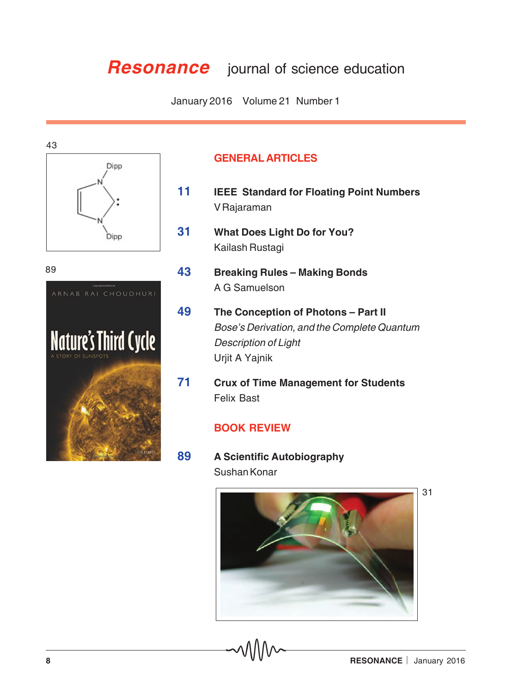## **Resonance** journal of science education

January 2016 Volume 21 Number 1





## **GENERAL ARTICLES**

- **11 IEEE Standard for Floating Point Numbers** V Rajaraman
- **31 What Does Light Do for You?** Kailash Rustagi
- **43 Breaking Rules Making Bonds** A G Samuelson
- **49 The Conception of Photons Part II** Bose's Derivation, and the Complete Quantum Description of Light Urjit A Yajnik
- **71 Crux of Time Management for Students** Felix Bast

## **BOOK REVIEW**

**89 A Scientific Autobiography** Sushan Konar